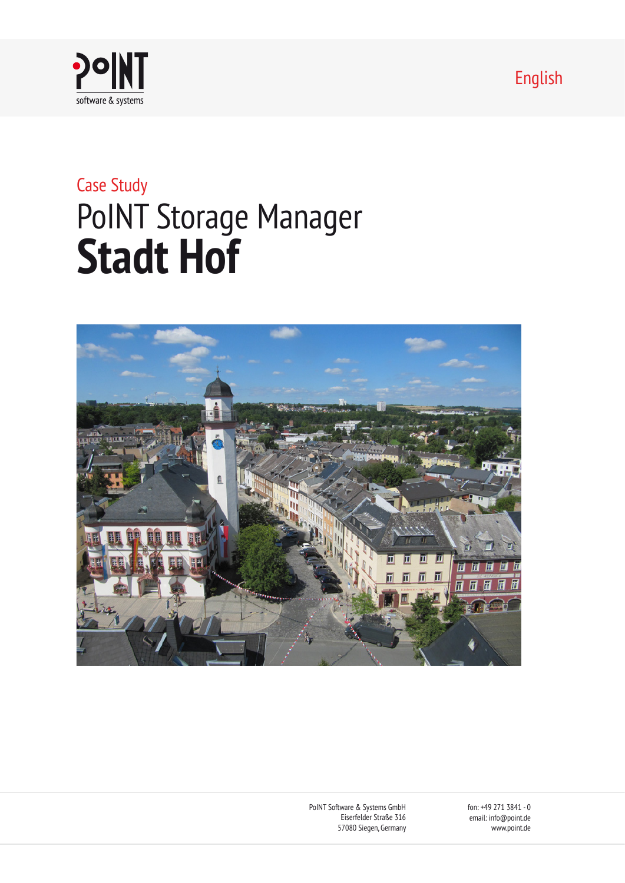English



# Case Study PoINT Storage Manager **Stadt Hof**



PoINT Software & Systems GmbH Eiserfelder Straße 316 57080 Siegen, Germany fon: +49 271 3841 - 0 email: info@point.de www.point.de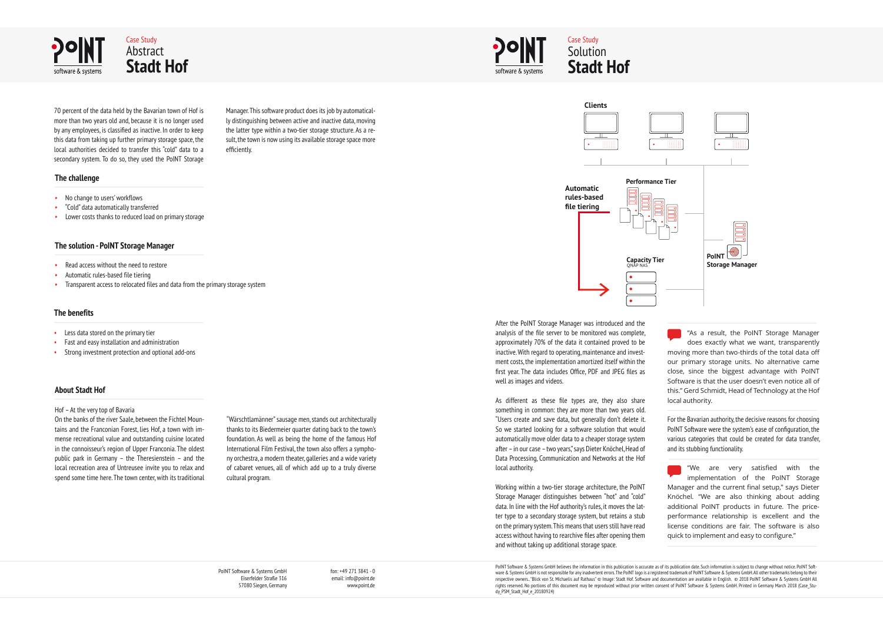PoINT Software & Systems GmbH Eiserfelder Straße 316 57080 Siegen, Germany fon: +49 271 3841 - 0 email: info@point.de www.point.de

- No change to users' workflows
- "Cold" data automatically transferred
- Lower costs thanks to reduced load on primary storage



## **The challenge**

## **The solution - PoINT Storage Manager**

#### **The benefits**

## **About Stadt Hof**

- Read access without the need to restore
- Automatic rules-based file tiering
- Transparent access to relocated files and data from the primary storage system

- Less data stored on the primary tier
- Fast and easy installation and administration
- Strong investment protection and optional add-ons

"As a result, the PoINT Storage Manager does exactly what we want, transparently moving more than two-thirds of the total data off our primary storage units. No alternative came close, since the biggest advantage with PoINT Software is that the user doesn't even notice all of this." Gerd Schmidt, Head of Technology at the Hof local authority.

For the Bavarian authority, the decisive reasons for choosing PoINT Software were the system's ease of configuration, the various categories that could be created for data transfer, and its stubbing functionality.

"We are very satisfied with the implementation of the PoINT Storage Manager and the current final setup," says Dieter Knöchel. "We are also thinking about adding additional PoINT products in future. The priceperformance relationship is excellent and the license conditions are fair. The software is also quick to implement and easy to configure."

After the PoINT Storage Manager was introduced and the analysis of the file server to be monitored was complete, approximately 70% of the data it contained proved to be inactive. With regard to operating, maintenance and investment costs, the implementation amortized itself within the first year. The data includes Office, PDF and JPEG files as well as images and videos.

As different as these file types are, they also share something in common: they are more than two years old. "Users create and save data, but generally don't delete it. So we started looking for a software solution that would automatically move older data to a cheaper storage system after – in our case – two years," says Dieter Knöchel, Head of Data Processing, Communication and Networks at the Hof local authority.

Working within a two-tier storage architecture, the PoINT Storage Manager distinguishes between "hot" and "cold" data. In line with the Hof authority's rules, it moves the latter type to a secondary storage system, but retains a stub on the primary system. This means that users still have read access without having to rearchive files after opening them and without taking up additional storage space.

PoINT Software & Systems GmbH believes the information in this publication is accurate as of its publication date. Such information is subject to change without notice. PoINT Software & Systems GmbH is not responsible for any inadvertent errors. The PoINT logo is a registered trademark of PoINT Software & Systems GmbH. All other trademarks belong to their respective owners.. "Blick von St. Michaelis auf Rathaus" © Image: Stadt Hof. Software and documentation are available in English. © 2018 PoINT Software & Systems GmbH All rights reserved. No portions of this document may be reproduced without prior written consent of PoINT Software & Systems GmbH. Printed in Germany March 2018 (Case Study PSM Stadt Hof e 20180924)

70 percent of the data held by the Bavarian town of Hof is more than two years old and, because it is no longer used by any employees, is classified as inactive. In order to keep this data from taking up further primary storage space, the local authorities decided to transfer this "cold" data to a secondary system. To do so, they used the PoINT Storage

#### Hof – At the very top of Bavaria

On the banks of the river Saale, between the Fichtel Mountains and the Franconian Forest, lies Hof, a town with immense recreational value and outstanding cuisine located in the connoisseur's region of Upper Franconia. The oldest public park in Germany – the Theresienstein – and the local recreation area of Untreusee invite you to relax and spend some time here. The town center, with its traditional

Manager. This software product does its job by automatically distinguishing between active and inactive data, moving the latter type within a two-tier storage structure. As a result, the town is now using its available storage space more efficiently.

"Wärschtlamänner" sausage men, stands out architecturally thanks to its Biedermeier quarter dating back to the town's foundation. As well as being the home of the famous Hof International Film Festival, the town also offers a symphony orchestra, a modern theater, galleries and a wide variety of cabaret venues, all of which add up to a truly diverse cultural program.



Case Study **Solution Stadt Hof**